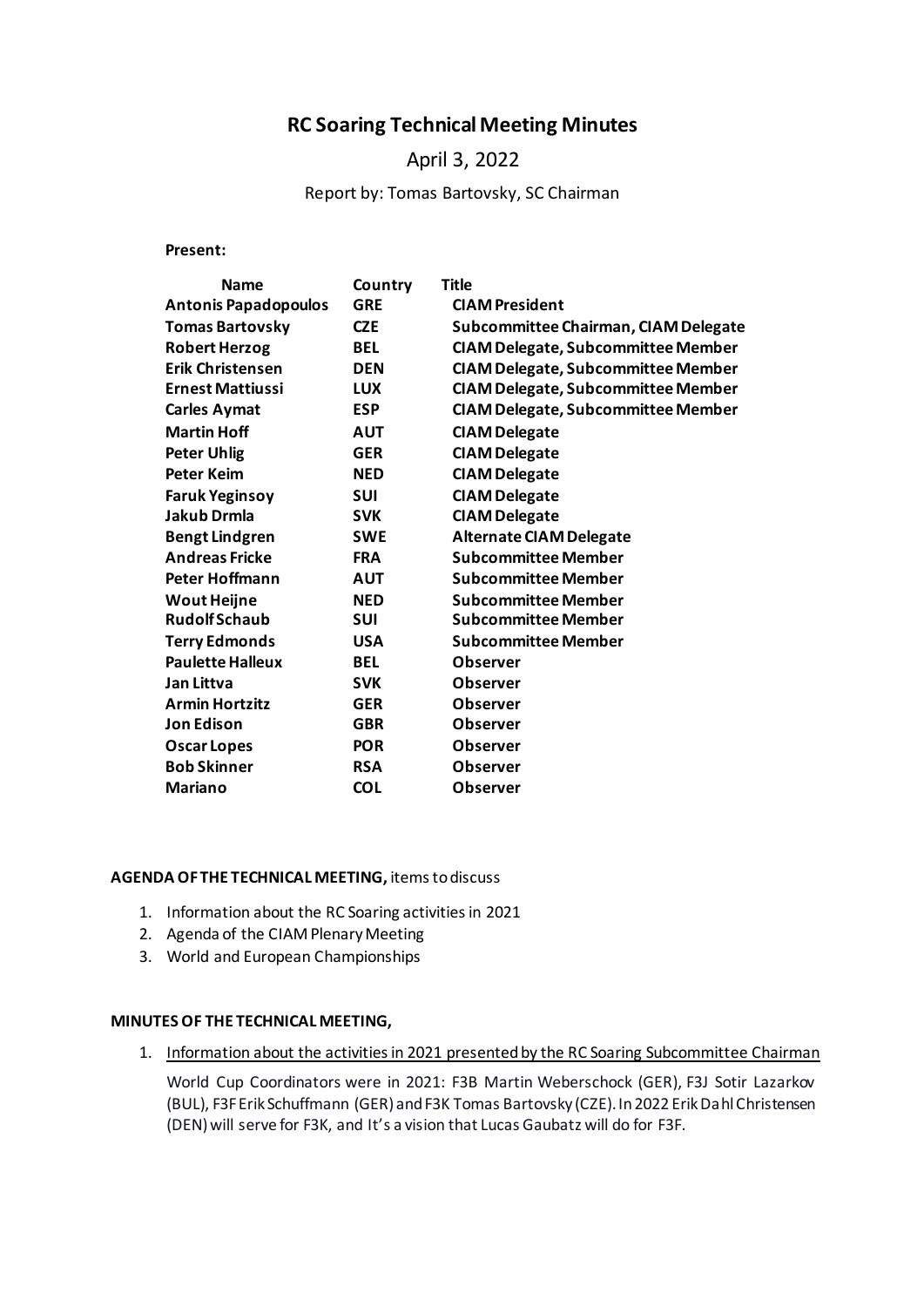# **RC Soaring Technical Meeting Minutes**

# April 3, 2022

### Report by: Tomas Bartovsky, SC Chairman

**Present:**

| <b>Name</b>                 | Country    | <b>Title</b>                              |
|-----------------------------|------------|-------------------------------------------|
| <b>Antonis Papadopoulos</b> | <b>GRE</b> | <b>CIAM President</b>                     |
| <b>Tomas Bartovsky</b>      | <b>CZE</b> | Subcommittee Chairman, CIAM Delegate      |
| <b>Robert Herzog</b>        | <b>BEL</b> | <b>CIAM Delegate, Subcommittee Member</b> |
| <b>Erik Christensen</b>     | <b>DEN</b> | <b>CIAM Delegate, Subcommittee Member</b> |
| <b>Ernest Mattiussi</b>     | <b>LUX</b> | <b>CIAM Delegate, Subcommittee Member</b> |
| <b>Carles Aymat</b>         | <b>ESP</b> | <b>CIAM Delegate, Subcommittee Member</b> |
| <b>Martin Hoff</b>          | <b>AUT</b> | <b>CIAM Delegate</b>                      |
| <b>Peter Uhlig</b>          | <b>GER</b> | <b>CIAM Delegate</b>                      |
| <b>Peter Keim</b>           | <b>NED</b> | <b>CIAM Delegate</b>                      |
| <b>Faruk Yeginsoy</b>       | <b>SUI</b> | <b>CIAM Delegate</b>                      |
| <b>Jakub Drmla</b>          | <b>SVK</b> | <b>CIAM Delegate</b>                      |
| <b>Bengt Lindgren</b>       | <b>SWE</b> | <b>Alternate CIAM Delegate</b>            |
| <b>Andreas Fricke</b>       | <b>FRA</b> | <b>Subcommittee Member</b>                |
| <b>Peter Hoffmann</b>       | <b>AUT</b> | <b>Subcommittee Member</b>                |
| <b>Wout Heijne</b>          | <b>NED</b> | <b>Subcommittee Member</b>                |
| <b>Rudolf Schaub</b>        | <b>SUI</b> | Subcommittee Member                       |
| <b>Terry Edmonds</b>        | <b>USA</b> | <b>Subcommittee Member</b>                |
| <b>Paulette Halleux</b>     | <b>BEL</b> | <b>Observer</b>                           |
| Jan Littva                  | <b>SVK</b> | <b>Observer</b>                           |
| <b>Armin Hortzitz</b>       | <b>GER</b> | <b>Observer</b>                           |
| <b>Jon Edison</b>           | <b>GBR</b> | <b>Observer</b>                           |
| <b>Oscar Lopes</b>          | <b>POR</b> | <b>Observer</b>                           |
| <b>Bob Skinner</b>          | <b>RSA</b> | <b>Observer</b>                           |
| <b>Mariano</b>              | <b>COL</b> | <b>Observer</b>                           |

#### **AGENDA OF THE TECHNICAL MEETING,** items to discuss

- 1. Information about the RC Soaring activities in 2021
- 2. Agenda of the CIAM Plenary Meeting
- 3. World and European Championships

### **MINUTES OF THE TECHNICAL MEETING,**

1. Information about the activities in 2021 presented by the RC Soaring Subcommittee Chairman

World Cup Coordinators were in 2021: F3B Martin Weberschock (GER), F3J Sotir Lazarkov (BUL), F3F Erik Schuffmann (GER) and F3K Tomas Bartovsky (CZE). In 2022 Erik Dahl Christensen (DEN) will serve for F3K, and It's a vision that Lucas Gaubatz will do for F3F.